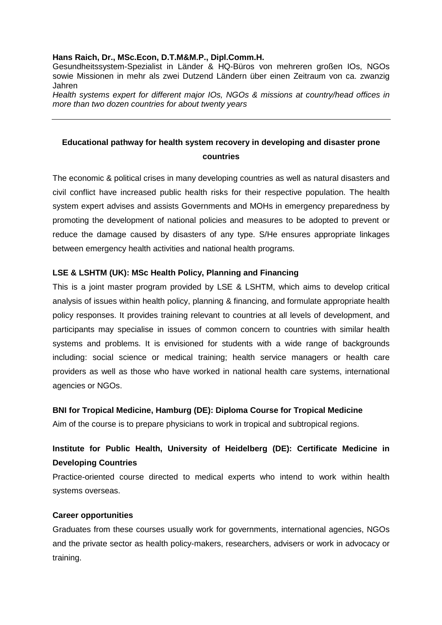#### **Hans Raich, Dr., MSc.Econ, D.T.M&M.P., Dipl.Comm.H.**

Gesundheitssystem-Spezialist in Länder & HQ-Büros von mehreren großen IOs, NGOs sowie Missionen in mehr als zwei Dutzend Ländern über einen Zeitraum von ca. zwanzig Jahren

Health systems expert for different major IOs, NGOs & missions at country/head offices in more than two dozen countries for about twenty years

## **Educational pathway for health system recovery in developing and disaster prone countries**

The economic & political crises in many developing countries as well as natural disasters and civil conflict have increased public health risks for their respective population. The health system expert advises and assists Governments and MOHs in emergency preparedness by promoting the development of national policies and measures to be adopted to prevent or reduce the damage caused by disasters of any type. S/He ensures appropriate linkages between emergency health activities and national health programs.

### **LSE & LSHTM (UK): MSc Health Policy, Planning and Financing**

This is a joint master program provided by LSE & LSHTM, which aims to develop critical analysis of issues within health policy, planning & financing, and formulate appropriate health policy responses. It provides training relevant to countries at all levels of development, and participants may specialise in issues of common concern to countries with similar health systems and problems. It is envisioned for students with a wide range of backgrounds including: social science or medical training; health service managers or health care providers as well as those who have worked in national health care systems, international agencies or NGOs.

### **BNI for Tropical Medicine, Hamburg (DE): Diploma Course for Tropical Medicine**

Aim of the course is to prepare physicians to work in tropical and subtropical regions.

# **Institute for Public Health, University of Heidelberg (DE): Certificate Medicine in Developing Countries**

Practice-oriented course directed to medical experts who intend to work within health systems overseas.

### **Career opportunities**

Graduates from these courses usually work for governments, international agencies, NGOs and the private sector as health policy-makers, researchers, advisers or work in advocacy or training.